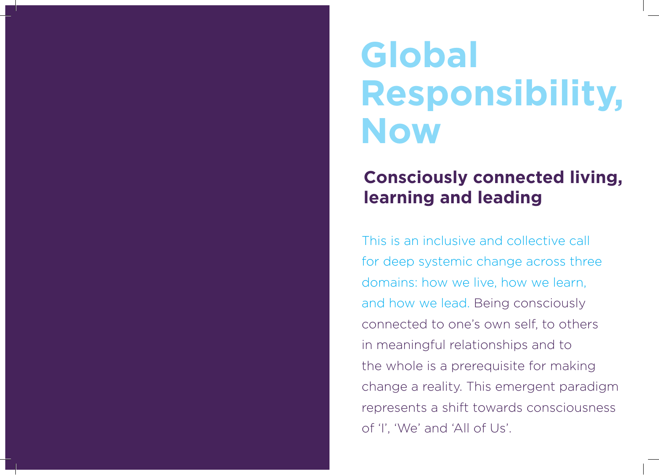# **Global Responsibility, Now**

## **Consciously connected living, learning and leading**

This is an inclusive and collective call for deep systemic change across three domains: how we live, how we learn, and how we lead. Being consciously connected to one's own self, to others in meaningful relationships and to the whole is a prerequisite for making change a reality. This emergent paradigm represents a shift towards consciousness of 'I', 'We' and 'All of Us'.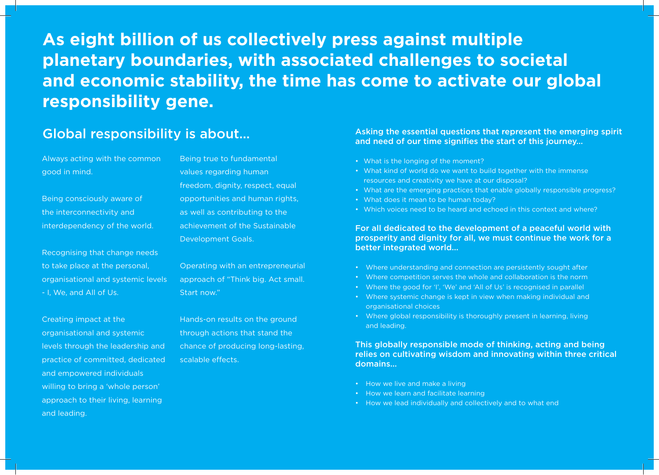**As eight billion of us collectively press against multiple planetary boundaries, with associated challenges to societal and economic stability, the time has come to activate our global responsibility gene.**

#### Global responsibility is about…

Always acting with the common good in mind.

Being consciously aware of the interconnectivity and interdependency of the world.

Recognising that change needs to take place at the personal, organisational and systemic levels - I, We, and All of Us.

Creating impact at the organisational and systemic levels through the leadership and practice of committed, dedicated and empowered individuals willing to bring a 'whole person' approach to their living, learning and leading.

Being true to fundamental values regarding human freedom, dignity, respect, equal opportunities and human rights, as well as contributing to the achievement of the Sustainable Development Goals.

Operating with an entrepreneurial approach of "Think big. Act small. Start now."

Hands-on results on the ground through actions that stand the chance of producing long-lasting, scalable effects.

#### Asking the essential questions that represent the emerging spirit and need of our time signifies the start of this journey...

- What is the longing of the moment?
- What kind of world do we want to build together with the immense resources and creativity we have at our disposal?
- What are the emerging practices that enable globally responsible progress?
- What does it mean to be human today?
- Which voices need to be heard and echoed in this context and where?

For all dedicated to the development of a peaceful world with prosperity and dignity for all, we must continue the work for a better integrated world...

- Where understanding and connection are persistently sought after
- Where competition serves the whole and collaboration is the norm
- Where the good for 'I', 'We' and 'All of Us' is recognised in parallel
- Where systemic change is kept in view when making individual and organisational choices
- Where global responsibility is thoroughly present in learning, living and leading.

This globally responsible mode of thinking, acting and being relies on cultivating wisdom and innovating within three critical domains...

- How we live and make a living
- How we learn and facilitate learning
- How we lead individually and collectively and to what end